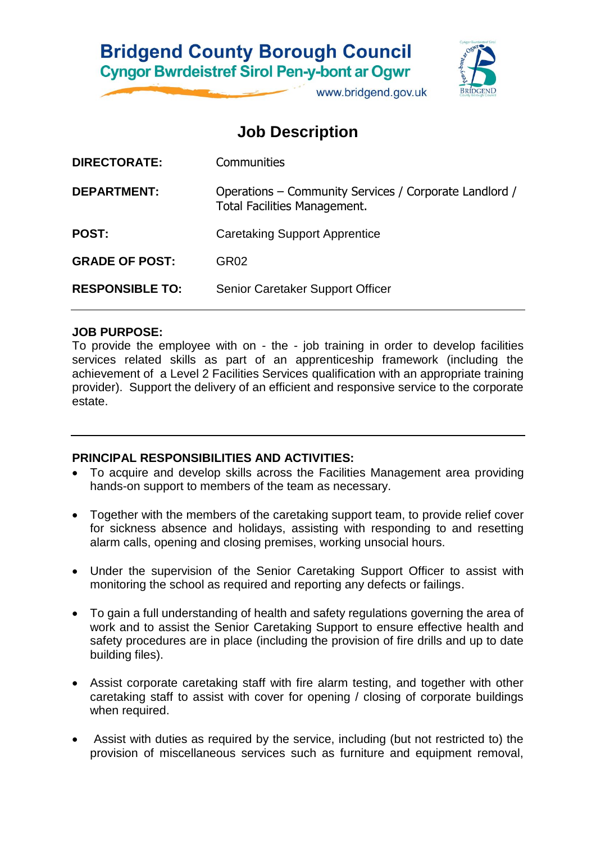# **Bridgend County Borough Council Cyngor Bwrdeistref Sirol Pen-y-bont ar Ogwr**

www.bridgend.gov.uk

# **Job Description**

| <b>DIRECTORATE:</b>    | Communities                                                                            |
|------------------------|----------------------------------------------------------------------------------------|
| <b>DEPARTMENT:</b>     | Operations – Community Services / Corporate Landlord /<br>Total Facilities Management. |
| <b>POST:</b>           | <b>Caretaking Support Apprentice</b>                                                   |
| <b>GRADE OF POST:</b>  | GR02                                                                                   |
| <b>RESPONSIBLE TO:</b> | Senior Caretaker Support Officer                                                       |
|                        |                                                                                        |

#### **JOB PURPOSE:**

To provide the employee with on - the - job training in order to develop facilities services related skills as part of an apprenticeship framework (including the achievement of a Level 2 Facilities Services qualification with an appropriate training provider). Support the delivery of an efficient and responsive service to the corporate estate.

#### **PRINCIPAL RESPONSIBILITIES AND ACTIVITIES:**

- To acquire and develop skills across the Facilities Management area providing hands-on support to members of the team as necessary.
- Together with the members of the caretaking support team, to provide relief cover for sickness absence and holidays, assisting with responding to and resetting alarm calls, opening and closing premises, working unsocial hours.
- Under the supervision of the Senior Caretaking Support Officer to assist with monitoring the school as required and reporting any defects or failings.
- To gain a full understanding of health and safety regulations governing the area of work and to assist the Senior Caretaking Support to ensure effective health and safety procedures are in place (including the provision of fire drills and up to date building files).
- Assist corporate caretaking staff with fire alarm testing, and together with other caretaking staff to assist with cover for opening / closing of corporate buildings when required.
- Assist with duties as required by the service, including (but not restricted to) the provision of miscellaneous services such as furniture and equipment removal,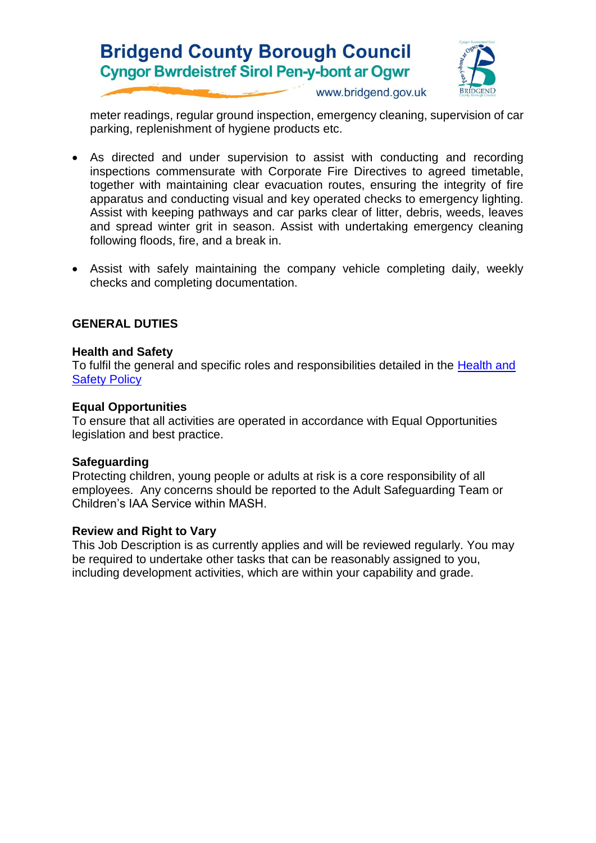



www.bridgend.gov.uk

meter readings, regular ground inspection, emergency cleaning, supervision of car parking, replenishment of hygiene products etc.

- As directed and under supervision to assist with conducting and recording inspections commensurate with Corporate Fire Directives to agreed timetable, together with maintaining clear evacuation routes, ensuring the integrity of fire apparatus and conducting visual and key operated checks to emergency lighting. Assist with keeping pathways and car parks clear of litter, debris, weeds, leaves and spread winter grit in season. Assist with undertaking emergency cleaning following floods, fire, and a break in.
- Assist with safely maintaining the company vehicle completing daily, weekly checks and completing documentation.

#### **GENERAL DUTIES**

#### **Health and Safety**

To fulfil the general and specific roles and responsibilities detailed in the [Health and](http://www.bridgenders.net/healthandsafety/Documents/Policies/Corporate%20Health%20and%20Safety%20Policy.pdf)  [Safety Policy](http://www.bridgenders.net/healthandsafety/Documents/Policies/Corporate%20Health%20and%20Safety%20Policy.pdf)

#### **Equal Opportunities**

To ensure that all activities are operated in accordance with Equal Opportunities legislation and best practice.

#### **Safeguarding**

Protecting children, young people or adults at risk is a core responsibility of all employees. Any concerns should be reported to the Adult Safeguarding Team or Children's IAA Service within MASH.

#### **Review and Right to Vary**

This Job Description is as currently applies and will be reviewed regularly. You may be required to undertake other tasks that can be reasonably assigned to you, including development activities, which are within your capability and grade.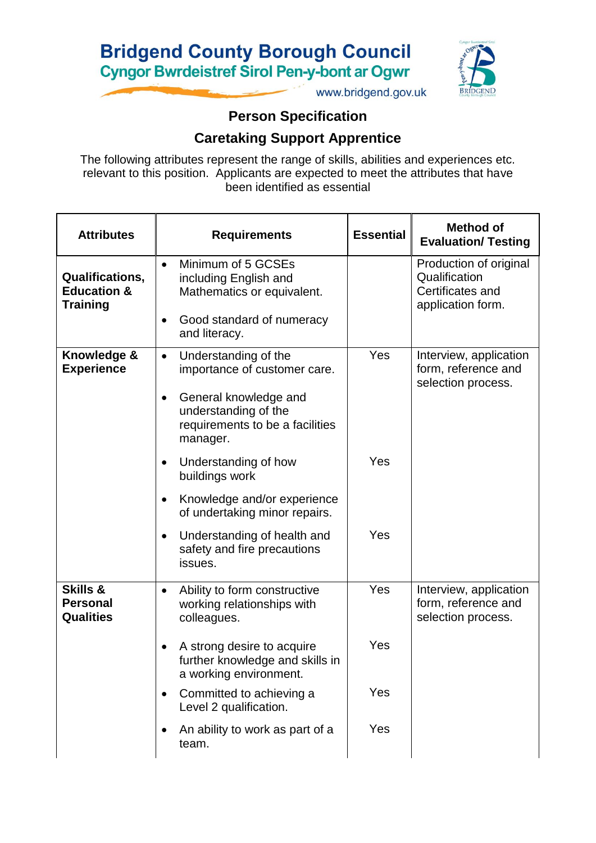# **Bridgend County Borough Council Cyngor Bwrdeistref Sirol Pen-y-bont ar Ogwr**



www.bridgend.gov.uk

## **Person Specification**

### **Caretaking Support Apprentice**

The following attributes represent the range of skills, abilities and experiences etc. relevant to this position. Applicants are expected to meet the attributes that have been identified as essential

| <b>Attributes</b>                                                   | <b>Requirements</b>                                                                                                                                                    | <b>Essential</b> | <b>Method of</b><br><b>Evaluation/ Testing</b>                                   |
|---------------------------------------------------------------------|------------------------------------------------------------------------------------------------------------------------------------------------------------------------|------------------|----------------------------------------------------------------------------------|
| <b>Qualifications,</b><br><b>Education &amp;</b><br><b>Training</b> | Minimum of 5 GCSEs<br>$\bullet$<br>including English and<br>Mathematics or equivalent.<br>Good standard of numeracy<br>and literacy.                                   |                  | Production of original<br>Qualification<br>Certificates and<br>application form. |
| Knowledge &<br><b>Experience</b>                                    | Understanding of the<br>$\bullet$<br>importance of customer care.<br>General knowledge and<br>٠<br>understanding of the<br>requirements to be a facilities<br>manager. | Yes              | Interview, application<br>form, reference and<br>selection process.              |
|                                                                     | Understanding of how<br>buildings work<br>Knowledge and/or experience<br>of undertaking minor repairs.                                                                 | Yes              |                                                                                  |
|                                                                     | Understanding of health and<br>safety and fire precautions<br>issues.                                                                                                  | Yes              |                                                                                  |
| <b>Skills &amp;</b><br><b>Personal</b><br><b>Qualities</b>          | Ability to form constructive<br>$\bullet$<br>working relationships with<br>colleagues.                                                                                 | Yes              | Interview, application<br>form, reference and<br>selection process.              |
|                                                                     | A strong desire to acquire<br>further knowledge and skills in<br>a working environment.                                                                                | Yes              |                                                                                  |
|                                                                     | Committed to achieving a<br>$\bullet$<br>Level 2 qualification.                                                                                                        | Yes              |                                                                                  |
|                                                                     | An ability to work as part of a<br>team.                                                                                                                               | Yes              |                                                                                  |